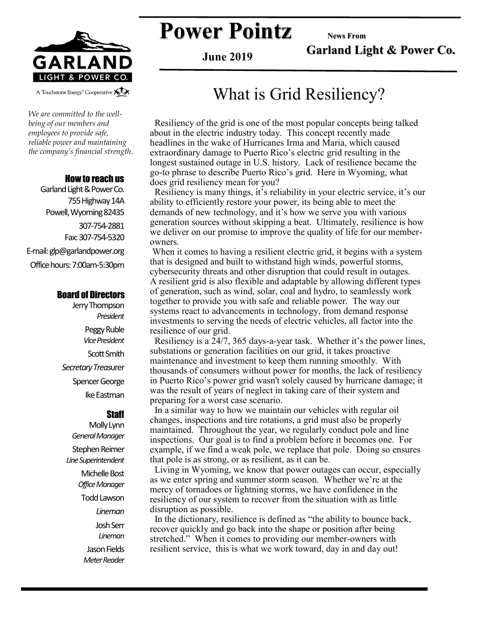

**Power Pointz** News From

**Garland Light & Power Co.**

**June 2019**

#### A Touchstone Energy<sup>®</sup> Cooperative A

*We are committed to the wellbeing of our members and employees to provide safe, reliable power and maintaining the company's financial strength.* 

#### How to reach us

Garland Light & Power Co. 755 Highway 14A Powell, Wyoming 82435 307-754-2881 Fax: 307-754-5320 E-mail: glp@garlandpower.org Office hours: 7:00am-5:30pm

#### Board of Directors

Jerry Thompson *President* Peggy Ruble *Vice President* Scott Smith *Secretary Treas*urer Spencer George Ike Eastman

#### **Staff**

Molly Lynn *General Manager* Stephen Reimer *Line Superintendent* Michelle Bost *Office Manager* Todd Lawson *Lineman* Josh Serr *Lineman* Jason Fields *Meter Reader*

### What is Grid Resiliency?

 Resiliency of the grid is one of the most popular concepts being talked about in the electric industry today. This concept recently made headlines in the wake of Hurricanes Irma and Maria, which caused extraordinary damage to Puerto Rico's electric grid resulting in the longest sustained outage in U.S. history. Lack of resilience became the go-to phrase to describe Puerto Rico's grid. Here in Wyoming, what does grid resiliency mean for you?

 Resiliency is many things, it's reliability in your electric service, it's our ability to efficiently restore your power, its being able to meet the demands of new technology, and it's how we serve you with various generation sources without skipping a beat. Ultimately, resilience is how we deliver on our promise to improve the quality of life for our memberowners.

When it comes to having a resilient electric grid, it begins with a system that is designed and built to withstand high winds, powerful storms, cybersecurity threats and other disruption that could result in outages. A resilient grid is also flexible and adaptable by allowing different types of generation, such as wind, solar, coal and hydro, to seamlessly work together to provide you with safe and reliable power. The way our systems react to advancements in technology, from demand response investments to serving the needs of electric vehicles, all factor into the resilience of our grid.

 Resiliency is a 24/7, 365 days-a-year task. Whether it's the power lines, substations or generation facilities on our grid, it takes proactive maintenance and investment to keep them running smoothly. With thousands of consumers without power for months, the lack of resiliency in Puerto Rico's power grid wasn't solely caused by hurricane damage; it was the result of years of neglect in taking care of their system and preparing for a worst case scenario.

 In a similar way to how we maintain our vehicles with regular oil changes, inspections and tire rotations, a grid must also be properly maintained. Throughout the year, we regularly conduct pole and line inspections. Our goal is to find a problem before it becomes one. For example, if we find a weak pole, we replace that pole. Doing so ensures that pole is as strong, or as resilient, as it can be.

 Living in Wyoming, we know that power outages can occur, especially as we enter spring and summer storm season. Whether we're at the mercy of tornadoes or lightning storms, we have confidence in the resiliency of our system to recover from the situation with as little disruption as possible.

 In the dictionary, resilience is defined as "the ability to bounce back, recover quickly and go back into the shape or position after being stretched." When it comes to providing our member-owners with resilient service, this is what we work toward, day in and day out!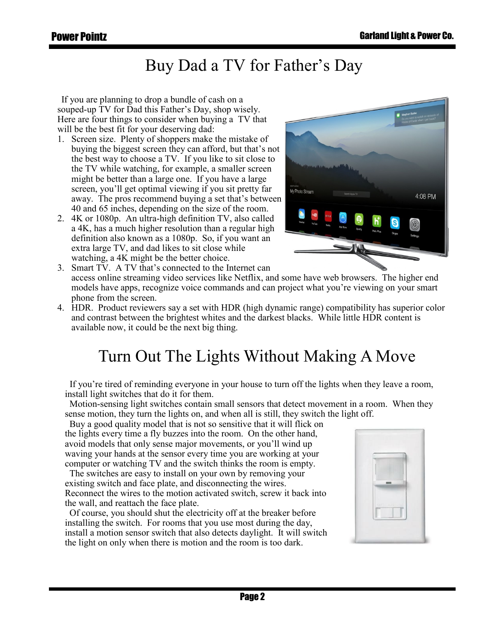### Buy Dad a TV for Father's Day

 If you are planning to drop a bundle of cash on a souped-up TV for Dad this Father's Day, shop wisely. Here are four things to consider when buying a TV that will be the best fit for your deserving dad:

- 1. Screen size. Plenty of shoppers make the mistake of buying the biggest screen they can afford, but that's not the best way to choose a TV. If you like to sit close to the TV while watching, for example, a smaller screen might be better than a large one. If you have a large screen, you'll get optimal viewing if you sit pretty far away. The pros recommend buying a set that's between 40 and 65 inches, depending on the size of the room.
- 2. 4K or 1080p. An ultra-high definition TV, also called a 4K, has a much higher resolution than a regular high definition also known as a 1080p. So, if you want an extra large TV, and dad likes to sit close while watching, a 4K might be the better choice.



3. Smart TV. A TV that's connected to the Internet can access online streaming video services like Netflix, and some have web browsers. The higher end models have apps, recognize voice commands and can project what you're viewing on your smart phone from the screen.

4. HDR. Product reviewers say a set with HDR (high dynamic range) compatibility has superior color and contrast between the brightest whites and the darkest blacks. While little HDR content is available now, it could be the next big thing.

## Turn Out The Lights Without Making A Move

 If you're tired of reminding everyone in your house to turn off the lights when they leave a room, install light switches that do it for them.

 Motion-sensing light switches contain small sensors that detect movement in a room. When they sense motion, they turn the lights on, and when all is still, they switch the light off.

 Buy a good quality model that is not so sensitive that it will flick on the lights every time a fly buzzes into the room. On the other hand, avoid models that only sense major movements, or you'll wind up waving your hands at the sensor every time you are working at your computer or watching TV and the switch thinks the room is empty.

 The switches are easy to install on your own by removing your existing switch and face plate, and disconnecting the wires. Reconnect the wires to the motion activated switch, screw it back into the wall, and reattach the face plate.

 Of course, you should shut the electricity off at the breaker before installing the switch. For rooms that you use most during the day, install a motion sensor switch that also detects daylight. It will switch the light on only when there is motion and the room is too dark.

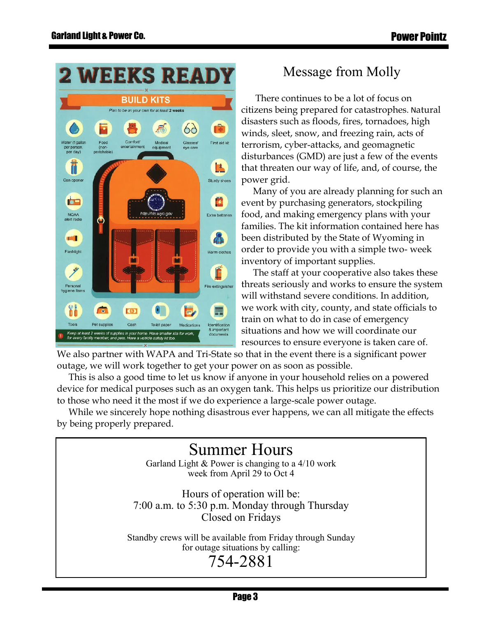

### Message from Molly

 There continues to be a lot of focus on citizens being prepared for catastrophes. Natural disasters such as floods, fires, tornadoes, high winds, sleet, snow, and freezing rain, acts of terrorism, cyber-attacks, and geomagnetic disturbances (GMD) are just a few of the events that threaten our way of life, and, of course, the power grid.

 Many of you are already planning for such an event by purchasing generators, stockpiling food, and making emergency plans with your families. The kit information contained here has been distributed by the State of Wyoming in order to provide you with a simple two- week inventory of important supplies.

 The staff at your cooperative also takes these threats seriously and works to ensure the system will withstand severe conditions. In addition, we work with city, county, and state officials to train on what to do in case of emergency situations and how we will coordinate our resources to ensure everyone is taken care of.

We also partner with WAPA and Tri-State so that in the event there is a significant power outage, we will work together to get your power on as soon as possible.

 This is also a good time to let us know if anyone in your household relies on a powered device for medical purposes such as an oxygen tank. This helps us prioritize our distribution to those who need it the most if we do experience a large-scale power outage.

 While we sincerely hope nothing disastrous ever happens, we can all mitigate the effects by being properly prepared.